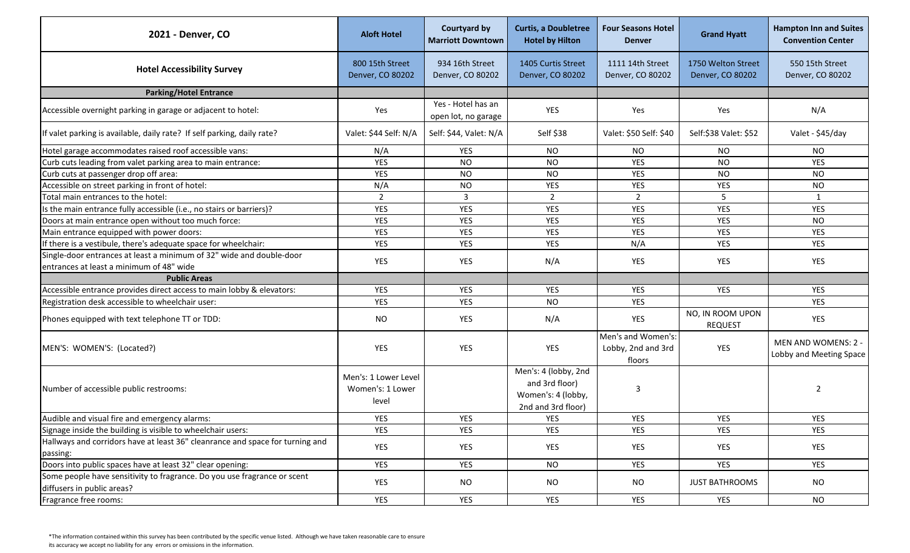| 2021 - Denver, CO                                                                                      | <b>Aloft Hotel</b>                                | <b>Courtyard by</b><br><b>Marriott Downtown</b> | <b>Curtis, a Doubletree</b><br><b>Hotel by Hilton</b>                              | <b>Four Seasons Hotel</b><br><b>Denver</b>         | <b>Grand Hyatt</b>                     | <b>Hampton Inn and Suites</b><br><b>Convention Center</b> |
|--------------------------------------------------------------------------------------------------------|---------------------------------------------------|-------------------------------------------------|------------------------------------------------------------------------------------|----------------------------------------------------|----------------------------------------|-----------------------------------------------------------|
| <b>Hotel Accessibility Survey</b>                                                                      | 800 15th Street<br>Denver, CO 80202               | 934 16th Street<br>Denver, CO 80202             | 1405 Curtis Street<br>Denver, CO 80202                                             | 1111 14th Street<br>Denver, CO 80202               | 1750 Welton Street<br>Denver, CO 80202 | 550 15th Street<br>Denver, CO 80202                       |
| <b>Parking/Hotel Entrance</b>                                                                          |                                                   |                                                 |                                                                                    |                                                    |                                        |                                                           |
| Accessible overnight parking in garage or adjacent to hotel:                                           | Yes                                               | Yes - Hotel has an<br>open lot, no garage       | <b>YES</b>                                                                         | Yes                                                | Yes                                    | N/A                                                       |
| If valet parking is available, daily rate? If self parking, daily rate?                                | Valet: \$44 Self: N/A                             | Self: \$44, Valet: N/A                          | Self \$38                                                                          | Valet: \$50 Self: \$40                             | Self:\$38 Valet: \$52                  | Valet - \$45/day                                          |
| Hotel garage accommodates raised roof accessible vans:                                                 | N/A                                               | <b>YES</b>                                      | NO.                                                                                | <b>NO</b>                                          | <b>NO</b>                              | NO.                                                       |
| Curb cuts leading from valet parking area to main entrance:                                            | <b>YES</b>                                        | <b>NO</b>                                       | <b>NO</b>                                                                          | <b>YES</b>                                         | <b>NO</b>                              | <b>YES</b>                                                |
| Curb cuts at passenger drop off area:                                                                  | YES                                               | <b>NO</b>                                       | <b>NO</b>                                                                          | <b>YES</b>                                         | <b>NO</b>                              | <b>NO</b>                                                 |
| Accessible on street parking in front of hotel:                                                        | N/A                                               | <b>NO</b>                                       | YES                                                                                | <b>YES</b>                                         | <b>YES</b>                             | <b>NO</b>                                                 |
| Total main entrances to the hotel:                                                                     | $\overline{2}$                                    | $\overline{3}$                                  | $\overline{2}$                                                                     | $\overline{2}$                                     | 5                                      | 1                                                         |
| Is the main entrance fully accessible (i.e., no stairs or barriers)?                                   | YES                                               | <b>YES</b>                                      | YES                                                                                | YES                                                | <b>YES</b>                             | <b>YES</b>                                                |
| Doors at main entrance open without too much force:                                                    | YES                                               | <b>YES</b>                                      | YES                                                                                | <b>YES</b>                                         | <b>YES</b>                             | <b>NO</b>                                                 |
| Main entrance equipped with power doors:                                                               | <b>YES</b>                                        | <b>YES</b>                                      | YES                                                                                | <b>YES</b>                                         | <b>YES</b>                             | <b>YES</b>                                                |
| If there is a vestibule, there's adequate space for wheelchair:                                        | YES                                               | <b>YES</b>                                      | YES                                                                                | N/A                                                | <b>YES</b>                             | <b>YES</b>                                                |
| Single-door entrances at least a minimum of 32" wide and double-door                                   |                                                   |                                                 |                                                                                    |                                                    |                                        |                                                           |
| entrances at least a minimum of 48" wide                                                               | YES                                               | <b>YES</b>                                      | N/A                                                                                | YES                                                | YES                                    | <b>YES</b>                                                |
| <b>Public Areas</b>                                                                                    |                                                   |                                                 |                                                                                    |                                                    |                                        |                                                           |
| Accessible entrance provides direct access to main lobby & elevators:                                  | <b>YES</b>                                        | <b>YES</b>                                      | <b>YES</b>                                                                         | <b>YES</b>                                         | YES                                    | <b>YES</b>                                                |
| Registration desk accessible to wheelchair user:                                                       | YES                                               | <b>YES</b>                                      | <b>NO</b>                                                                          | <b>YES</b>                                         |                                        | <b>YES</b>                                                |
| Phones equipped with text telephone TT or TDD:                                                         | <b>NO</b>                                         | <b>YES</b>                                      | N/A                                                                                | YES                                                | NO, IN ROOM UPON<br><b>REQUEST</b>     | <b>YES</b>                                                |
| MEN'S: WOMEN'S: (Located?)                                                                             | YES                                               | <b>YES</b>                                      | YES                                                                                | Men's and Women's:<br>Lobby, 2nd and 3rd<br>floors | YES                                    | MEN AND WOMENS: 2 -<br>Lobby and Meeting Space            |
| Number of accessible public restrooms:                                                                 | Men's: 1 Lower Level<br>Women's: 1 Lower<br>level |                                                 | Men's: 4 (lobby, 2nd<br>and 3rd floor)<br>Women's: 4 (lobby,<br>2nd and 3rd floor) | 3                                                  |                                        | $\overline{2}$                                            |
| Audible and visual fire and emergency alarms:                                                          | <b>YES</b>                                        | YES                                             | YES                                                                                | YES                                                | YES                                    | YES                                                       |
| Signage inside the building is visible to wheelchair users:                                            | YES                                               | <b>YES</b>                                      | YES                                                                                | YES                                                | YES                                    | <b>YES</b>                                                |
| Hallways and corridors have at least 36" cleanrance and space for turning and<br>passing:              | YES                                               | <b>YES</b>                                      | YES                                                                                | YES                                                | YES                                    | <b>YES</b>                                                |
| Doors into public spaces have at least 32" clear opening:                                              | <b>YES</b>                                        | YES                                             | <b>NO</b>                                                                          | YES                                                | YES                                    | <b>YES</b>                                                |
| Some people have sensitivity to fragrance. Do you use fragrance or scent<br>diffusers in public areas? | YES                                               | <b>NO</b>                                       | <b>NO</b>                                                                          | <b>NO</b>                                          | <b>JUST BATHROOMS</b>                  | <b>NO</b>                                                 |
| Fragrance free rooms:                                                                                  | YES                                               | YES                                             | YES                                                                                | YES                                                | YES                                    | <b>NO</b>                                                 |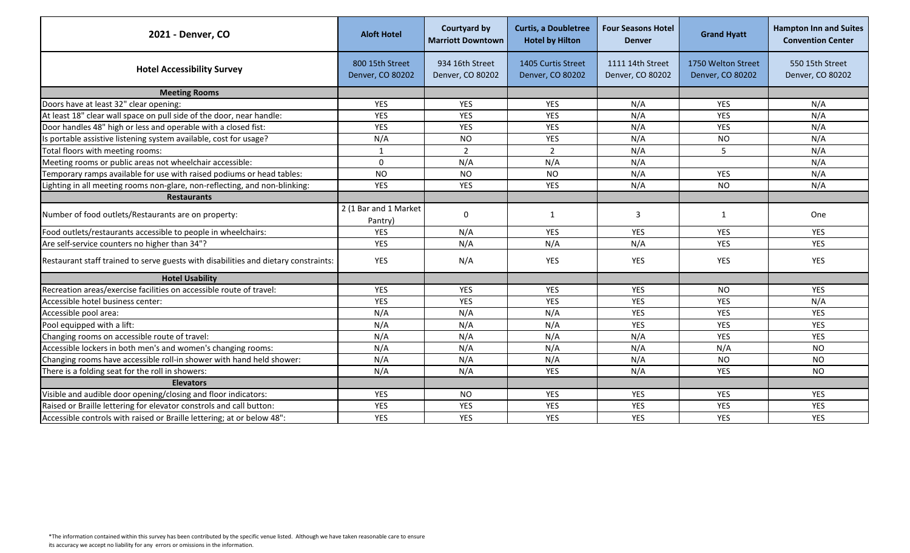| 2021 - Denver, CO                                                                   | <b>Aloft Hotel</b>                  | <b>Courtyard by</b><br><b>Marriott Downtown</b> | <b>Curtis, a Doubletree</b><br><b>Hotel by Hilton</b> | <b>Four Seasons Hotel</b><br><b>Denver</b> | <b>Grand Hyatt</b>                     | <b>Hampton Inn and Suites</b><br><b>Convention Center</b> |
|-------------------------------------------------------------------------------------|-------------------------------------|-------------------------------------------------|-------------------------------------------------------|--------------------------------------------|----------------------------------------|-----------------------------------------------------------|
| <b>Hotel Accessibility Survey</b>                                                   | 800 15th Street<br>Denver, CO 80202 | 934 16th Street<br>Denver, CO 80202             | 1405 Curtis Street<br>Denver, CO 80202                | 1111 14th Street<br>Denver, CO 80202       | 1750 Welton Street<br>Denver, CO 80202 | 550 15th Street<br>Denver, CO 80202                       |
| <b>Meeting Rooms</b>                                                                |                                     |                                                 |                                                       |                                            |                                        |                                                           |
| Doors have at least 32" clear opening:                                              | <b>YES</b>                          | <b>YES</b>                                      | <b>YES</b>                                            | N/A                                        | <b>YES</b>                             | N/A                                                       |
| At least 18" clear wall space on pull side of the door, near handle:                | <b>YES</b>                          | <b>YES</b>                                      | <b>YES</b>                                            | N/A                                        | YES                                    | N/A                                                       |
| Door handles 48" high or less and operable with a closed fist:                      | YES                                 | <b>YES</b>                                      | YES                                                   | N/A                                        | <b>YES</b>                             | N/A                                                       |
| Is portable assistive listening system available, cost for usage?                   | N/A                                 | <b>NO</b>                                       | YES                                                   | N/A                                        | <b>NO</b>                              | N/A                                                       |
| Total floors with meeting rooms:                                                    |                                     | $\overline{2}$                                  | $\overline{2}$                                        | N/A                                        | 5                                      | N/A                                                       |
| Meeting rooms or public areas not wheelchair accessible:                            | $\Omega$                            | N/A                                             | N/A                                                   | N/A                                        |                                        | N/A                                                       |
| Temporary ramps available for use with raised podiums or head tables:               | <b>NO</b>                           | <b>NO</b>                                       | <b>NO</b>                                             | N/A                                        | <b>YES</b>                             | N/A                                                       |
| Lighting in all meeting rooms non-glare, non-reflecting, and non-blinking:          | <b>YES</b>                          | <b>YES</b>                                      | <b>YES</b>                                            | N/A                                        | <b>NO</b>                              | N/A                                                       |
| <b>Restaurants</b>                                                                  |                                     |                                                 |                                                       |                                            |                                        |                                                           |
| Number of food outlets/Restaurants are on property:                                 | 2 (1 Bar and 1 Market<br>Pantry)    | $\mathbf 0$                                     | 1                                                     | 3                                          | $\mathbf{1}$                           | One                                                       |
| Food outlets/restaurants accessible to people in wheelchairs:                       | <b>YES</b>                          | N/A                                             | <b>YES</b>                                            | <b>YES</b>                                 | <b>YES</b>                             | <b>YES</b>                                                |
| Are self-service counters no higher than 34"?                                       | <b>YES</b>                          | N/A                                             | N/A                                                   | N/A                                        | YES                                    | <b>YES</b>                                                |
| Restaurant staff trained to serve guests with disabilities and dietary constraints: | YES                                 | N/A                                             | YES                                                   | <b>YES</b>                                 | <b>YES</b>                             | <b>YES</b>                                                |
| <b>Hotel Usability</b>                                                              |                                     |                                                 |                                                       |                                            |                                        |                                                           |
| Recreation areas/exercise facilities on accessible route of travel:                 | YES                                 | YES                                             | YES                                                   | <b>YES</b>                                 | <b>NO</b>                              | <b>YES</b>                                                |
| Accessible hotel business center:                                                   | <b>YES</b>                          | <b>YES</b>                                      | <b>YES</b>                                            | <b>YES</b>                                 | <b>YES</b>                             | N/A                                                       |
| Accessible pool area:                                                               | N/A                                 | N/A                                             | N/A                                                   | <b>YES</b>                                 | <b>YES</b>                             | <b>YES</b>                                                |
| Pool equipped with a lift:                                                          | N/A                                 | N/A                                             | N/A                                                   | <b>YES</b>                                 | <b>YES</b>                             | <b>YES</b>                                                |
| Changing rooms on accessible route of travel:                                       | N/A                                 | N/A                                             | N/A                                                   | N/A                                        | <b>YES</b>                             | <b>YES</b>                                                |
| Accessible lockers in both men's and women's changing rooms:                        | N/A                                 | N/A                                             | N/A                                                   | N/A                                        | N/A                                    | <b>NO</b>                                                 |
| Changing rooms have accessible roll-in shower with hand held shower:                | N/A                                 | N/A                                             | N/A                                                   | N/A                                        | <b>NO</b>                              | <b>NO</b>                                                 |
| There is a folding seat for the roll in showers:                                    | N/A                                 | N/A                                             | <b>YES</b>                                            | N/A                                        | <b>YES</b>                             | <b>NO</b>                                                 |
| <b>Elevators</b>                                                                    |                                     |                                                 |                                                       |                                            |                                        |                                                           |
| Visible and audible door opening/closing and floor indicators:                      | <b>YES</b>                          | NO.                                             | <b>YES</b>                                            | <b>YES</b>                                 | <b>YES</b>                             | <b>YES</b>                                                |
| Raised or Braille lettering for elevator constrols and call button:                 | <b>YES</b>                          | YES                                             | <b>YES</b>                                            | <b>YES</b>                                 | YES                                    | <b>YES</b>                                                |
| Accessible controls with raised or Braille lettering; at or below 48":              | <b>YES</b>                          | <b>YES</b>                                      | <b>YES</b>                                            | <b>YES</b>                                 | <b>YES</b>                             | <b>YES</b>                                                |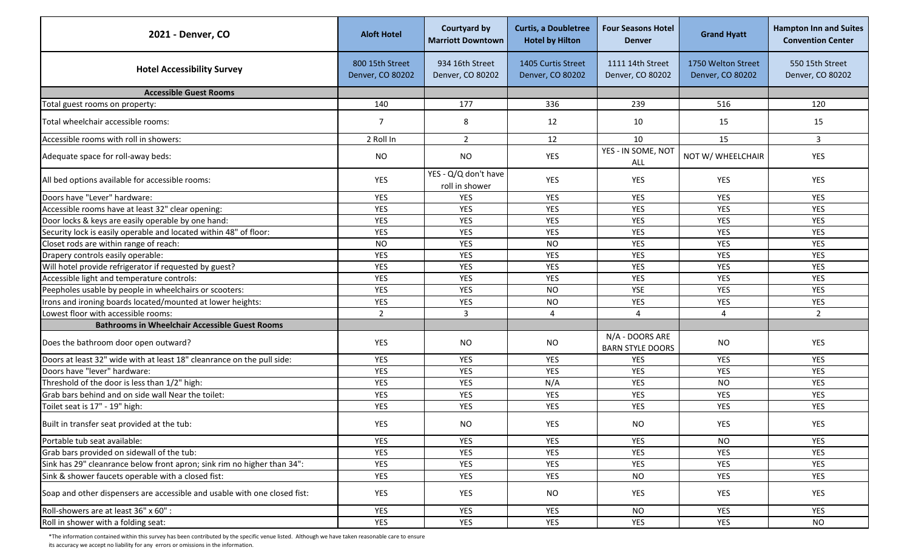| 2021 - Denver, CO                                                         | <b>Aloft Hotel</b>                  | <b>Courtyard by</b><br><b>Marriott Downtown</b> | <b>Curtis, a Doubletree</b><br><b>Hotel by Hilton</b> | <b>Four Seasons Hotel</b><br><b>Denver</b> | <b>Grand Hyatt</b>                     | <b>Hampton Inn and Suites</b><br><b>Convention Center</b> |
|---------------------------------------------------------------------------|-------------------------------------|-------------------------------------------------|-------------------------------------------------------|--------------------------------------------|----------------------------------------|-----------------------------------------------------------|
| <b>Hotel Accessibility Survey</b>                                         | 800 15th Street<br>Denver, CO 80202 | 934 16th Street<br>Denver, CO 80202             | 1405 Curtis Street<br>Denver, CO 80202                | 1111 14th Street<br>Denver, CO 80202       | 1750 Welton Street<br>Denver, CO 80202 | 550 15th Street<br>Denver, CO 80202                       |
| <b>Accessible Guest Rooms</b>                                             |                                     |                                                 |                                                       |                                            |                                        |                                                           |
| Total guest rooms on property:                                            | 140                                 | 177                                             | 336                                                   | 239                                        | 516                                    | 120                                                       |
| Total wheelchair accessible rooms:                                        | $\overline{7}$                      | 8                                               | 12                                                    | 10                                         | 15                                     | 15                                                        |
| Accessible rooms with roll in showers:                                    | 2 Roll In                           | $\overline{2}$                                  | 12                                                    | 10                                         | 15                                     | $\mathbf{3}$                                              |
| Adequate space for roll-away beds:                                        | <b>NO</b>                           | <b>NO</b>                                       | YES                                                   | YES - IN SOME, NOT<br>ALL                  | NOT W/ WHEELCHAIR                      | <b>YES</b>                                                |
| All bed options available for accessible rooms:                           | YES                                 | YES - Q/Q don't have<br>roll in shower          | YES                                                   | YES                                        | YES                                    | YES                                                       |
| Doors have "Lever" hardware:                                              | YES                                 | <b>YES</b>                                      | YES                                                   | <b>YES</b>                                 | <b>YES</b>                             | <b>YES</b>                                                |
| Accessible rooms have at least 32" clear opening:                         | YES                                 | <b>YES</b>                                      | <b>YES</b>                                            | <b>YES</b>                                 | YES                                    | <b>YES</b>                                                |
| Door locks & keys are easily operable by one hand:                        | YES                                 | <b>YES</b>                                      | <b>YES</b>                                            | <b>YES</b>                                 | <b>YES</b>                             | <b>YES</b>                                                |
| Security lock is easily operable and located within 48" of floor:         | YES                                 | YES                                             | <b>YES</b>                                            | <b>YES</b>                                 | <b>YES</b>                             | <b>YES</b>                                                |
| Closet rods are within range of reach:                                    | <b>NO</b>                           | <b>YES</b>                                      | <b>NO</b>                                             | <b>YES</b>                                 | <b>YES</b>                             | <b>YES</b>                                                |
| Drapery controls easily operable:                                         | YES                                 | <b>YES</b>                                      | <b>YES</b>                                            | <b>YES</b>                                 | YES                                    | <b>YES</b>                                                |
| Will hotel provide refrigerator if requested by guest?                    | YES                                 | <b>YES</b>                                      | YES                                                   | <b>YES</b>                                 | <b>YES</b>                             | <b>YES</b>                                                |
| Accessible light and temperature controls:                                | YES                                 | <b>YES</b>                                      | YES                                                   | <b>YES</b>                                 | YES                                    | <b>YES</b>                                                |
| Peepholes usable by people in wheelchairs or scooters:                    | YES                                 | <b>YES</b>                                      | <b>NO</b>                                             | YSE                                        | YES                                    | <b>YES</b>                                                |
| Irons and ironing boards located/mounted at lower heights:                | <b>YES</b>                          | <b>YES</b>                                      | <b>NO</b>                                             | <b>YES</b>                                 | <b>YES</b>                             | <b>YES</b>                                                |
| Lowest floor with accessible rooms:                                       | $\overline{2}$                      | $\overline{3}$                                  | $\overline{4}$                                        | 4                                          | $\Delta$                               | $\overline{2}$                                            |
| <b>Bathrooms in Wheelchair Accessible Guest Rooms</b>                     |                                     |                                                 |                                                       |                                            |                                        |                                                           |
| Does the bathroom door open outward?                                      | YES                                 | <b>NO</b>                                       | <b>NO</b>                                             | N/A - DOORS ARE<br><b>BARN STYLE DOORS</b> | <b>NO</b>                              | YES                                                       |
| Doors at least 32" wide with at least 18" cleanrance on the pull side:    | YES                                 | YES                                             | YES                                                   | YES                                        | YES                                    | YES                                                       |
| Doors have "lever" hardware:                                              | YES                                 | <b>YES</b>                                      | <b>YES</b>                                            | <b>YES</b>                                 | YES                                    | <b>YES</b>                                                |
| Threshold of the door is less than 1/2" high:                             | YES                                 | <b>YES</b>                                      | N/A                                                   | <b>YES</b>                                 | <b>NO</b>                              | <b>YES</b>                                                |
| Grab bars behind and on side wall Near the toilet:                        | YES                                 | YES                                             | YES                                                   | <b>YES</b>                                 | YES                                    | <b>YES</b>                                                |
| Toilet seat is 17" - 19" high:                                            | <b>YES</b>                          | <b>YES</b>                                      | <b>YES</b>                                            | <b>YES</b>                                 | <b>YES</b>                             | <b>YES</b>                                                |
| Built in transfer seat provided at the tub:                               | <b>YES</b>                          | <b>NO</b>                                       | <b>YES</b>                                            | <b>NO</b>                                  | <b>YES</b>                             | <b>YES</b>                                                |
| Portable tub seat available:                                              | <b>YES</b>                          | <b>YES</b>                                      | YES                                                   | YES                                        | <b>NO</b>                              | <b>YES</b>                                                |
| Grab bars provided on sidewall of the tub:                                | YES                                 | <b>YES</b>                                      | YES                                                   | YES                                        | <b>YES</b>                             | YES                                                       |
| Sink has 29" cleanrance below front apron; sink rim no higher than 34":   | YES                                 | <b>YES</b>                                      | YES                                                   | <b>YES</b>                                 | <b>YES</b>                             | <b>YES</b>                                                |
| Sink & shower faucets operable with a closed fist:                        | YES                                 | YES                                             | YES                                                   | <b>NO</b>                                  | YES                                    | <b>YES</b>                                                |
| Soap and other dispensers are accessible and usable with one closed fist: | YES                                 | YES                                             | NO                                                    | YES                                        | YES                                    | <b>YES</b>                                                |
| Roll-showers are at least 36" x 60" :                                     | <b>YES</b>                          | <b>YES</b>                                      | YES                                                   | <b>NO</b>                                  | YES                                    | YES                                                       |
| Roll in shower with a folding seat:                                       | YES                                 | YES                                             | YES                                                   | YES                                        | YES                                    | <b>NO</b>                                                 |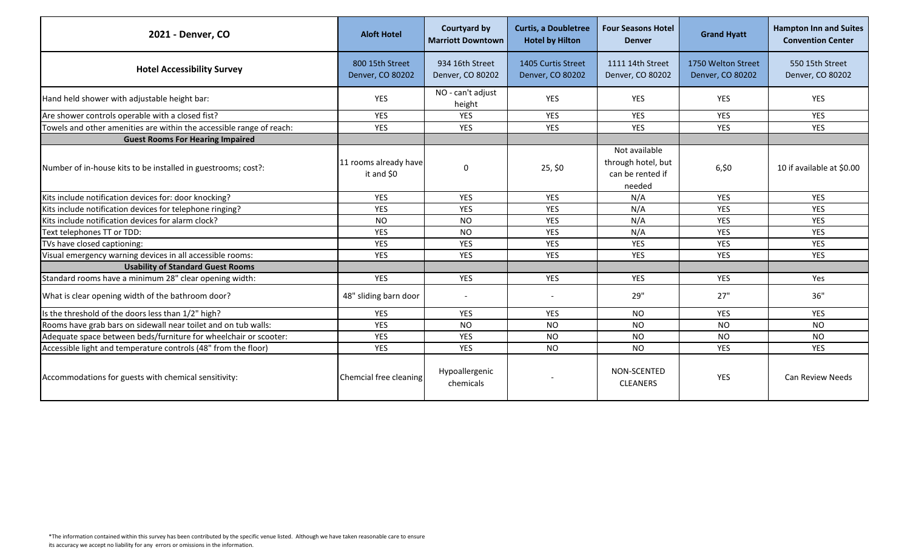| 2021 - Denver, CO                                                    | <b>Aloft Hotel</b>                  | <b>Courtyard by</b><br><b>Marriott Downtown</b> | <b>Curtis, a Doubletree</b><br><b>Hotel by Hilton</b> | <b>Four Seasons Hotel</b><br><b>Denver</b>                        | <b>Grand Hyatt</b>                     | <b>Hampton Inn and Suites</b><br><b>Convention Center</b> |
|----------------------------------------------------------------------|-------------------------------------|-------------------------------------------------|-------------------------------------------------------|-------------------------------------------------------------------|----------------------------------------|-----------------------------------------------------------|
| <b>Hotel Accessibility Survey</b>                                    | 800 15th Street<br>Denver, CO 80202 | 934 16th Street<br>Denver, CO 80202             | 1405 Curtis Street<br>Denver, CO 80202                | 1111 14th Street<br>Denver, CO 80202                              | 1750 Welton Street<br>Denver, CO 80202 | 550 15th Street<br>Denver, CO 80202                       |
| Hand held shower with adjustable height bar:                         | YES                                 | NO - can't adjust<br>height                     | YES                                                   | YES                                                               | <b>YES</b>                             | <b>YES</b>                                                |
| Are shower controls operable with a closed fist?                     | <b>YES</b>                          | <b>YES</b>                                      | <b>YES</b>                                            | <b>YES</b>                                                        | <b>YES</b>                             | <b>YES</b>                                                |
| Towels and other amenities are within the accessible range of reach: | YES                                 | <b>YES</b>                                      | <b>YES</b>                                            | <b>YES</b>                                                        | <b>YES</b>                             | <b>YES</b>                                                |
| <b>Guest Rooms For Hearing Impaired</b>                              |                                     |                                                 |                                                       |                                                                   |                                        |                                                           |
| Number of in-house kits to be installed in guestrooms; cost?:        | 11 rooms already have<br>it and \$0 | 0                                               | 25, \$0                                               | Not available<br>through hotel, but<br>can be rented if<br>needed | 6,50                                   | 10 if available at \$0.00                                 |
| Kits include notification devices for: door knocking?                | YES                                 | <b>YES</b>                                      | <b>YES</b>                                            | N/A                                                               | <b>YES</b>                             | <b>YES</b>                                                |
| Kits include notification devices for telephone ringing?             | YES                                 | <b>YES</b>                                      | <b>YES</b>                                            | N/A                                                               | <b>YES</b>                             | <b>YES</b>                                                |
| Kits include notification devices for alarm clock?                   | <b>NO</b>                           | <b>NO</b>                                       | <b>YES</b>                                            | N/A                                                               | <b>YES</b>                             | <b>YES</b>                                                |
| Text telephones TT or TDD:                                           | YES                                 | <b>NO</b>                                       | <b>YES</b>                                            | N/A                                                               | YES                                    | <b>YES</b>                                                |
| TVs have closed captioning:                                          | YES                                 | YES                                             | <b>YES</b>                                            | <b>YES</b>                                                        | <b>YES</b>                             | <b>YES</b>                                                |
| Visual emergency warning devices in all accessible rooms:            | <b>YES</b>                          | <b>YES</b>                                      | <b>YES</b>                                            | <b>YES</b>                                                        | <b>YES</b>                             | <b>YES</b>                                                |
| <b>Usability of Standard Guest Rooms</b>                             |                                     |                                                 |                                                       |                                                                   |                                        |                                                           |
| Standard rooms have a minimum 28" clear opening width:               | YES                                 | YES                                             | <b>YES</b>                                            | YES                                                               | YES                                    | Yes                                                       |
| What is clear opening width of the bathroom door?                    | 48" sliding barn door               | $\overline{\phantom{a}}$                        |                                                       | 29"                                                               | 27"                                    | 36"                                                       |
| Is the threshold of the doors less than 1/2" high?                   | YES                                 | <b>YES</b>                                      | <b>YES</b>                                            | <b>NO</b>                                                         | <b>YES</b>                             | <b>YES</b>                                                |
| Rooms have grab bars on sidewall near toilet and on tub walls:       | YES                                 | <b>NO</b>                                       | <b>NO</b>                                             | <b>NO</b>                                                         | <b>NO</b>                              | <b>NO</b>                                                 |
| Adequate space between beds/furniture for wheelchair or scooter:     | YES                                 | <b>YES</b>                                      | <b>NO</b>                                             | <b>NO</b>                                                         | <b>NO</b>                              | <b>NO</b>                                                 |
| Accessible light and temperature controls (48" from the floor)       | <b>YES</b>                          | <b>YES</b>                                      | <b>NO</b>                                             | <b>NO</b>                                                         | <b>YES</b>                             | <b>YES</b>                                                |
| Accommodations for guests with chemical sensitivity:                 | Chemcial free cleaning              | Hypoallergenic<br>chemicals                     |                                                       | NON-SCENTED<br><b>CLEANERS</b>                                    | <b>YES</b>                             | <b>Can Review Needs</b>                                   |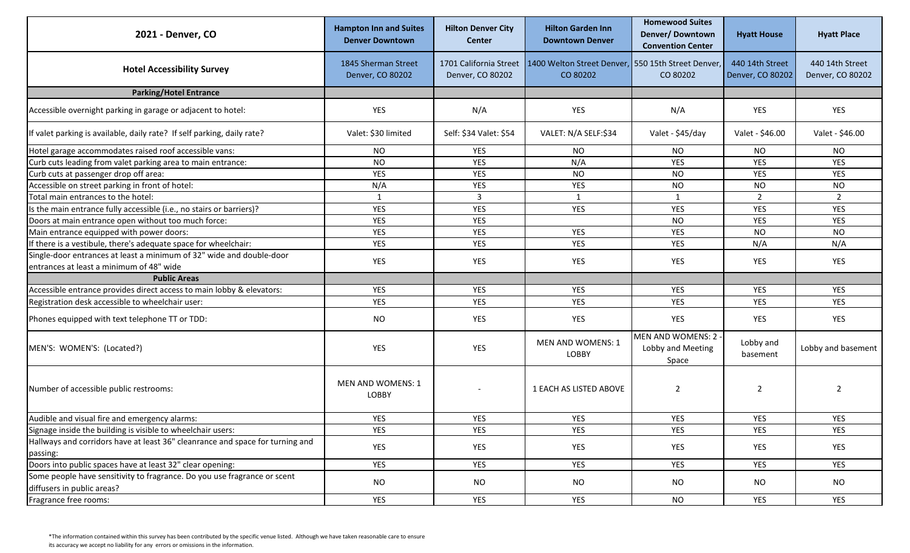| 2021 - Denver, CO                                                                         | <b>Hampton Inn and Suites</b><br><b>Denver Downtown</b> | <b>Hilton Denver City</b><br><b>Center</b> | <b>Hilton Garden Inn</b><br><b>Downtown Denver</b>             | <b>Homewood Suites</b><br>Denver/Downtown<br><b>Convention Center</b> | <b>Hyatt House</b>                  | <b>Hyatt Place</b>                  |
|-------------------------------------------------------------------------------------------|---------------------------------------------------------|--------------------------------------------|----------------------------------------------------------------|-----------------------------------------------------------------------|-------------------------------------|-------------------------------------|
| <b>Hotel Accessibility Survey</b>                                                         | 1845 Sherman Street<br>Denver, CO 80202                 | 1701 California Street<br>Denver, CO 80202 | 1400 Welton Street Denver, 550 15th Street Denver,<br>CO 80202 | CO 80202                                                              | 440 14th Street<br>Denver, CO 80202 | 440 14th Street<br>Denver, CO 80202 |
| <b>Parking/Hotel Entrance</b>                                                             |                                                         |                                            |                                                                |                                                                       |                                     |                                     |
| Accessible overnight parking in garage or adjacent to hotel:                              | YES                                                     | N/A                                        | YES                                                            | N/A                                                                   | YES                                 | YES                                 |
| If valet parking is available, daily rate? If self parking, daily rate?                   | Valet: \$30 limited                                     | Self: \$34 Valet: \$54                     | VALET: N/A SELF:\$34                                           | Valet - \$45/day                                                      | Valet - \$46.00                     | Valet - \$46.00                     |
| Hotel garage accommodates raised roof accessible vans:                                    | <b>NO</b>                                               | YES                                        | <b>NO</b>                                                      | <b>NO</b>                                                             | <b>NO</b>                           | <b>NO</b>                           |
| Curb cuts leading from valet parking area to main entrance:                               | <b>NO</b>                                               | <b>YES</b>                                 | N/A                                                            | <b>YES</b>                                                            | <b>YES</b>                          | <b>YES</b>                          |
| Curb cuts at passenger drop off area:                                                     | YES                                                     | YES                                        | <b>NO</b>                                                      | <b>NO</b>                                                             | <b>YES</b>                          | <b>YES</b>                          |
| Accessible on street parking in front of hotel:                                           | N/A                                                     | <b>YES</b>                                 | YES                                                            | <b>NO</b>                                                             | <b>NO</b>                           | NO                                  |
| Total main entrances to the hotel:                                                        | 1                                                       | 3                                          | $\mathbf{1}$                                                   | 1                                                                     | $\overline{2}$                      | $\overline{2}$                      |
| Is the main entrance fully accessible (i.e., no stairs or barriers)?                      | YES                                                     | YES                                        | YES                                                            | YES                                                                   | YES                                 | <b>YES</b>                          |
| Doors at main entrance open without too much force:                                       | <b>YES</b>                                              | <b>YES</b>                                 |                                                                | <b>NO</b>                                                             | <b>YES</b>                          | <b>YES</b>                          |
| Main entrance equipped with power doors:                                                  | YES                                                     | <b>YES</b>                                 | YES                                                            | <b>YES</b>                                                            | <b>NO</b>                           | <b>NO</b>                           |
| If there is a vestibule, there's adequate space for wheelchair:                           | YES                                                     | <b>YES</b>                                 | YES                                                            | YES                                                                   | N/A                                 | N/A                                 |
| Single-door entrances at least a minimum of 32" wide and double-door                      | YES                                                     | YES                                        | <b>YES</b>                                                     | <b>YES</b>                                                            | <b>YES</b>                          | <b>YES</b>                          |
| entrances at least a minimum of 48" wide                                                  |                                                         |                                            |                                                                |                                                                       |                                     |                                     |
| <b>Public Areas</b>                                                                       |                                                         |                                            |                                                                |                                                                       |                                     |                                     |
| Accessible entrance provides direct access to main lobby & elevators:                     | <b>YES</b>                                              | YES                                        | <b>YES</b>                                                     | <b>YES</b>                                                            | <b>YES</b>                          | <b>YES</b>                          |
| Registration desk accessible to wheelchair user:                                          | YES                                                     | <b>YES</b>                                 | YES                                                            | YES                                                                   | <b>YES</b>                          | <b>YES</b>                          |
| Phones equipped with text telephone TT or TDD:                                            | <b>NO</b>                                               | YES                                        | YES                                                            | YES                                                                   | YES                                 | <b>YES</b>                          |
| MEN'S: WOMEN'S: (Located?)                                                                | YES                                                     | YES                                        | MEN AND WOMENS: 1<br>LOBBY                                     | MEN AND WOMENS: 2 -<br>Lobby and Meeting<br>Space                     | Lobby and<br>basement               | Lobby and basement                  |
| Number of accessible public restrooms:                                                    | MEN AND WOMENS: 1<br>LOBBY                              |                                            | 1 EACH AS LISTED ABOVE                                         | $\overline{2}$                                                        | $\overline{2}$                      | 2                                   |
| Audible and visual fire and emergency alarms:                                             | YES                                                     | YES                                        | <b>YES</b>                                                     | <b>YES</b>                                                            | <b>YES</b>                          | <b>YES</b>                          |
| Signage inside the building is visible to wheelchair users:                               | YES                                                     | YES                                        | YES                                                            | YES                                                                   | YES                                 | <b>YES</b>                          |
| Hallways and corridors have at least 36" cleanrance and space for turning and<br>passing: | <b>YES</b>                                              | YES                                        | YES                                                            | YES                                                                   | <b>YES</b>                          | YES                                 |
| Doors into public spaces have at least 32" clear opening:                                 | YES                                                     | YES                                        | YES                                                            | YES                                                                   | YES                                 | YES                                 |
| Some people have sensitivity to fragrance. Do you use fragrance or scent                  |                                                         |                                            |                                                                |                                                                       |                                     |                                     |
| diffusers in public areas?                                                                | <b>NO</b>                                               | <b>NO</b>                                  | <b>NO</b>                                                      | <b>NO</b>                                                             | <b>NO</b>                           | <b>NO</b>                           |
| Fragrance free rooms:                                                                     | YES                                                     | YES                                        | YES                                                            | <b>NO</b>                                                             | YES                                 | <b>YES</b>                          |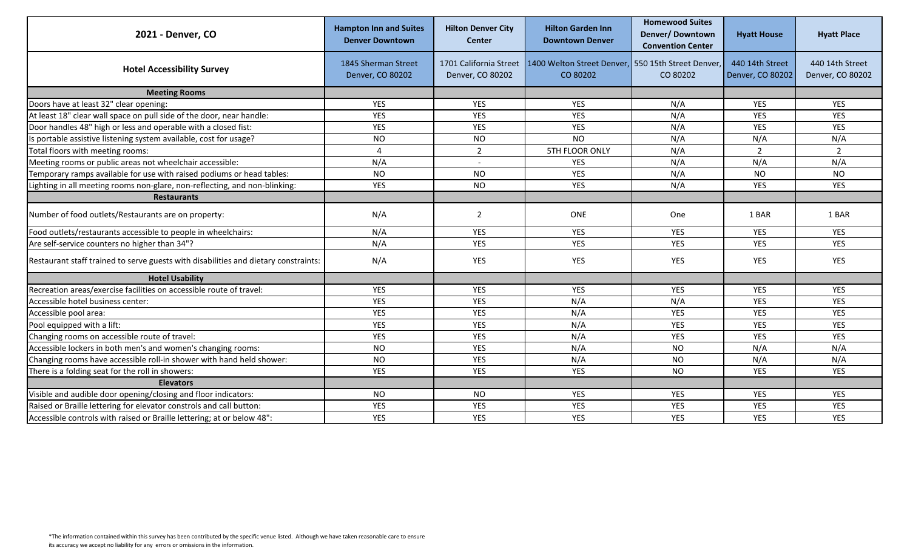| 2021 - Denver, CO                                                                   | <b>Hampton Inn and Suites</b><br><b>Denver Downtown</b> | <b>Hilton Denver City</b><br><b>Center</b> | <b>Hilton Garden Inn</b><br><b>Downtown Denver</b>             | <b>Homewood Suites</b><br>Denver/Downtown<br><b>Convention Center</b> | <b>Hyatt House</b>                  | <b>Hyatt Place</b>                  |
|-------------------------------------------------------------------------------------|---------------------------------------------------------|--------------------------------------------|----------------------------------------------------------------|-----------------------------------------------------------------------|-------------------------------------|-------------------------------------|
| <b>Hotel Accessibility Survey</b>                                                   | 1845 Sherman Street<br>Denver, CO 80202                 | 1701 California Street<br>Denver, CO 80202 | 1400 Welton Street Denver, 550 15th Street Denver,<br>CO 80202 | CO 80202                                                              | 440 14th Street<br>Denver, CO 80202 | 440 14th Street<br>Denver, CO 80202 |
| <b>Meeting Rooms</b>                                                                |                                                         |                                            |                                                                |                                                                       |                                     |                                     |
| Doors have at least 32" clear opening:                                              | YES                                                     | <b>YES</b>                                 | <b>YES</b>                                                     | N/A                                                                   | <b>YES</b>                          | YES                                 |
| At least 18" clear wall space on pull side of the door, near handle:                | YES                                                     | YES                                        | <b>YES</b>                                                     | N/A                                                                   | <b>YES</b>                          | YES                                 |
| Door handles 48" high or less and operable with a closed fist:                      | YES                                                     | YES                                        | <b>YES</b>                                                     | N/A                                                                   | <b>YES</b>                          | YES                                 |
| Is portable assistive listening system available, cost for usage?                   | <b>NO</b>                                               | <b>NO</b>                                  | <b>NO</b>                                                      | N/A                                                                   | N/A                                 | N/A                                 |
| Total floors with meeting rooms:                                                    | $\boldsymbol{\Lambda}$                                  | $\overline{2}$                             | 5TH FLOOR ONLY                                                 | N/A                                                                   | $\overline{2}$                      | $\overline{\phantom{a}}$            |
| Meeting rooms or public areas not wheelchair accessible:                            | N/A                                                     |                                            | YES                                                            | N/A                                                                   | N/A                                 | N/A                                 |
| Temporary ramps available for use with raised podiums or head tables:               | <b>NO</b>                                               | <b>NO</b>                                  | <b>YES</b>                                                     | N/A                                                                   | <b>NO</b>                           | <b>NO</b>                           |
| Lighting in all meeting rooms non-glare, non-reflecting, and non-blinking:          | YES                                                     | <b>NO</b>                                  | <b>YES</b>                                                     | N/A                                                                   | <b>YES</b>                          | <b>YES</b>                          |
| <b>Restaurants</b>                                                                  |                                                         |                                            |                                                                |                                                                       |                                     |                                     |
| Number of food outlets/Restaurants are on property:                                 | N/A                                                     | 2                                          | ONE                                                            | One                                                                   | 1 BAR                               | 1 BAR                               |
| Food outlets/restaurants accessible to people in wheelchairs:                       | N/A                                                     | YES                                        | <b>YES</b>                                                     | <b>YES</b>                                                            | <b>YES</b>                          | <b>YES</b>                          |
| Are self-service counters no higher than 34"?                                       | N/A                                                     | YES                                        | <b>YES</b>                                                     | <b>YES</b>                                                            | <b>YES</b>                          | <b>YES</b>                          |
| Restaurant staff trained to serve guests with disabilities and dietary constraints: | N/A                                                     | YES                                        | <b>YES</b>                                                     | <b>YES</b>                                                            | <b>YES</b>                          | YES                                 |
| <b>Hotel Usability</b>                                                              |                                                         |                                            |                                                                |                                                                       |                                     |                                     |
| Recreation areas/exercise facilities on accessible route of travel:                 | YES                                                     | <b>YES</b>                                 | <b>YES</b>                                                     | YES                                                                   | <b>YES</b>                          | YES                                 |
| Accessible hotel business center:                                                   | <b>YES</b>                                              | YES                                        | N/A                                                            | N/A                                                                   | <b>YES</b>                          | <b>YES</b>                          |
| Accessible pool area:                                                               | YES                                                     | YES                                        | N/A                                                            | YES                                                                   | <b>YES</b>                          | YES                                 |
| Pool equipped with a lift:                                                          | YES                                                     | <b>YES</b>                                 | N/A                                                            | <b>YES</b>                                                            | <b>YES</b>                          | YES                                 |
| Changing rooms on accessible route of travel:                                       | YES                                                     | <b>YES</b>                                 | N/A                                                            | <b>YES</b>                                                            | <b>YES</b>                          | <b>YES</b>                          |
| Accessible lockers in both men's and women's changing rooms:                        | <b>NO</b>                                               | <b>YES</b>                                 | N/A                                                            | <b>NO</b>                                                             | N/A                                 | N/A                                 |
| Changing rooms have accessible roll-in shower with hand held shower:                | <b>NO</b>                                               | <b>YES</b>                                 | N/A                                                            | <b>NO</b>                                                             | N/A                                 | N/A                                 |
| There is a folding seat for the roll in showers:                                    | YES                                                     | <b>YES</b>                                 | <b>YES</b>                                                     | <b>NO</b>                                                             | <b>YES</b>                          | <b>YES</b>                          |
| <b>Elevators</b>                                                                    |                                                         |                                            |                                                                |                                                                       |                                     |                                     |
| Visible and audible door opening/closing and floor indicators:                      | <b>NO</b>                                               | <b>NO</b>                                  | <b>YES</b>                                                     | <b>YES</b>                                                            | <b>YES</b>                          | <b>YES</b>                          |
| Raised or Braille lettering for elevator constrols and call button:                 | <b>YES</b>                                              | YES                                        | <b>YES</b>                                                     | YES                                                                   | <b>YES</b>                          | YES                                 |
| Accessible controls with raised or Braille lettering; at or below 48":              | <b>YES</b>                                              | <b>YES</b>                                 | <b>YES</b>                                                     | <b>YES</b>                                                            | <b>YES</b>                          | <b>YES</b>                          |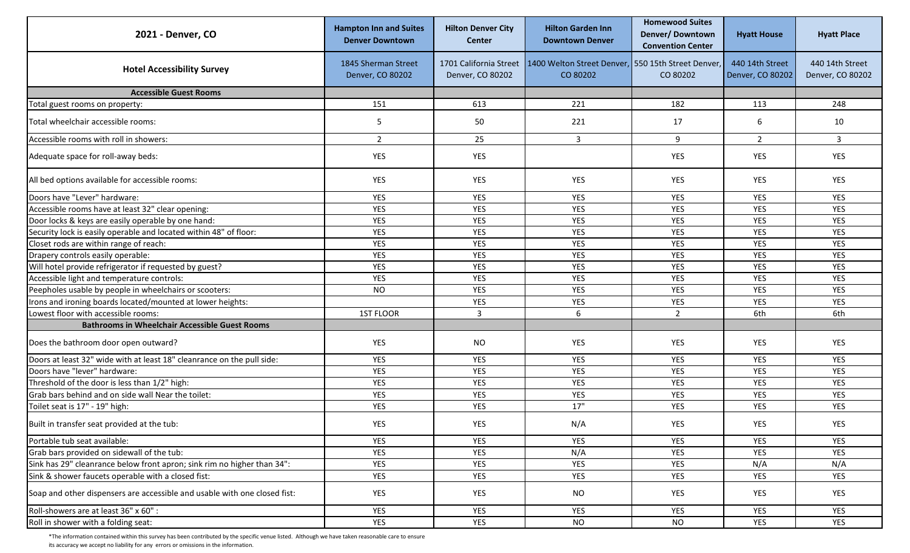| 2021 - Denver, CO                                                         | <b>Hampton Inn and Suites</b><br><b>Denver Downtown</b> | <b>Hilton Denver City</b><br><b>Center</b> | <b>Hilton Garden Inn</b><br><b>Downtown Denver</b>                                   | <b>Homewood Suites</b><br>Denver/Downtown<br><b>Convention Center</b> | <b>Hyatt House</b>                  | <b>Hyatt Place</b>                  |
|---------------------------------------------------------------------------|---------------------------------------------------------|--------------------------------------------|--------------------------------------------------------------------------------------|-----------------------------------------------------------------------|-------------------------------------|-------------------------------------|
| <b>Hotel Accessibility Survey</b>                                         | 1845 Sherman Street<br>Denver, CO 80202                 | Denver, CO 80202                           | 1701 California Street 1400 Welton Street Denver, 550 15th Street Denver<br>CO 80202 | CO 80202                                                              | 440 14th Street<br>Denver, CO 80202 | 440 14th Street<br>Denver, CO 80202 |
| <b>Accessible Guest Rooms</b>                                             |                                                         |                                            |                                                                                      |                                                                       |                                     |                                     |
| Total guest rooms on property:                                            | 151                                                     | 613                                        | 221                                                                                  | 182                                                                   | 113                                 | 248                                 |
| Total wheelchair accessible rooms:                                        | 5                                                       | 50                                         | 221                                                                                  | 17                                                                    | 6                                   | 10                                  |
| Accessible rooms with roll in showers:                                    | $\overline{2}$                                          | 25                                         | $\mathbf{3}$                                                                         | 9                                                                     | $2^{\circ}$                         | $\overline{3}$                      |
| Adequate space for roll-away beds:                                        | YES                                                     | YES                                        |                                                                                      | <b>YES</b>                                                            | <b>YES</b>                          | YES                                 |
| All bed options available for accessible rooms:                           | YES                                                     | YES                                        | YES                                                                                  | YES                                                                   | <b>YES</b>                          | YES                                 |
| Doors have "Lever" hardware:                                              | YES                                                     | YES                                        | <b>YES</b>                                                                           | YES                                                                   | YES                                 | YES                                 |
| Accessible rooms have at least 32" clear opening:                         | <b>YES</b>                                              | YES                                        | YES                                                                                  | YES                                                                   | <b>YES</b>                          | YES                                 |
| Door locks & keys are easily operable by one hand:                        | YES                                                     | <b>YES</b>                                 | <b>YES</b>                                                                           | YES                                                                   | <b>YES</b>                          | YES                                 |
| Security lock is easily operable and located within 48" of floor:         | YES                                                     | <b>YES</b>                                 | <b>YES</b>                                                                           | YES                                                                   | <b>YES</b>                          | YES                                 |
| Closet rods are within range of reach:                                    | YES                                                     | YES                                        | YES                                                                                  | YES                                                                   | <b>YES</b>                          | YES                                 |
| Drapery controls easily operable:                                         | YES                                                     | YES                                        | YES                                                                                  | YES                                                                   | YES                                 | YES                                 |
| Will hotel provide refrigerator if requested by guest?                    | YES                                                     | YES                                        | YES                                                                                  | YES                                                                   | <b>YES</b>                          | YES                                 |
| Accessible light and temperature controls:                                | YES                                                     | YES                                        | YES                                                                                  | YES                                                                   | YES                                 | YES                                 |
| Peepholes usable by people in wheelchairs or scooters:                    | <b>NO</b>                                               | YES                                        | YES                                                                                  | YES                                                                   | YES                                 | YES                                 |
| Irons and ironing boards located/mounted at lower heights:                |                                                         | <b>YES</b>                                 | YES                                                                                  | YES                                                                   | <b>YES</b>                          | YES                                 |
| Lowest floor with accessible rooms:                                       | 1ST FLOOR                                               | 3                                          | 6                                                                                    | $\overline{2}$                                                        | 6th                                 | 6th                                 |
| <b>Bathrooms in Wheelchair Accessible Guest Rooms</b>                     |                                                         |                                            |                                                                                      |                                                                       |                                     |                                     |
| Does the bathroom door open outward?                                      | YES                                                     | <b>NO</b>                                  | YES                                                                                  | YES                                                                   | <b>YES</b>                          | YES                                 |
| Doors at least 32" wide with at least 18" cleanrance on the pull side:    | <b>YES</b>                                              | YES                                        | <b>YES</b>                                                                           | YES                                                                   | YES                                 | <b>YES</b>                          |
| Doors have "lever" hardware:                                              | YES                                                     | YES                                        | YES                                                                                  | YES                                                                   | YES                                 | YES                                 |
| Threshold of the door is less than 1/2" high:                             | YES                                                     | <b>YES</b>                                 | <b>YES</b>                                                                           | YES                                                                   | <b>YES</b>                          | YES                                 |
| Grab bars behind and on side wall Near the toilet:                        | <b>YES</b>                                              | <b>YES</b>                                 | <b>YES</b>                                                                           | YES                                                                   | <b>YES</b>                          | YES                                 |
| Toilet seat is 17" - 19" high:                                            | YES                                                     | <b>YES</b>                                 | 17"                                                                                  | YES                                                                   | <b>YES</b>                          | YES                                 |
| Built in transfer seat provided at the tub:                               | YES                                                     | YES                                        | N/A                                                                                  | YES                                                                   | YES                                 | YES                                 |
| Portable tub seat available:                                              | YES                                                     | YES                                        | YES                                                                                  | YES                                                                   | <b>YES</b>                          | <b>YES</b>                          |
| Grab bars provided on sidewall of the tub:                                | YES                                                     | YES                                        | N/A                                                                                  | YES                                                                   | YES                                 | <b>YES</b>                          |
| Sink has 29" cleanrance below front apron; sink rim no higher than 34":   | YES                                                     | YES                                        | YES                                                                                  | YES                                                                   | N/A                                 | N/A                                 |
| Sink & shower faucets operable with a closed fist:                        | YES                                                     | YES                                        | YES                                                                                  | YES                                                                   | YES                                 | <b>YES</b>                          |
| Soap and other dispensers are accessible and usable with one closed fist: | YES                                                     | YES                                        | <b>NO</b>                                                                            | YES                                                                   | YES                                 | YES                                 |
| Roll-showers are at least 36" x 60" :                                     | YES                                                     | YES                                        | YES                                                                                  | YES                                                                   | YES                                 | YES                                 |
| Roll in shower with a folding seat:                                       | YES                                                     | YES                                        | <b>NO</b>                                                                            | <b>NO</b>                                                             | YES                                 | YES                                 |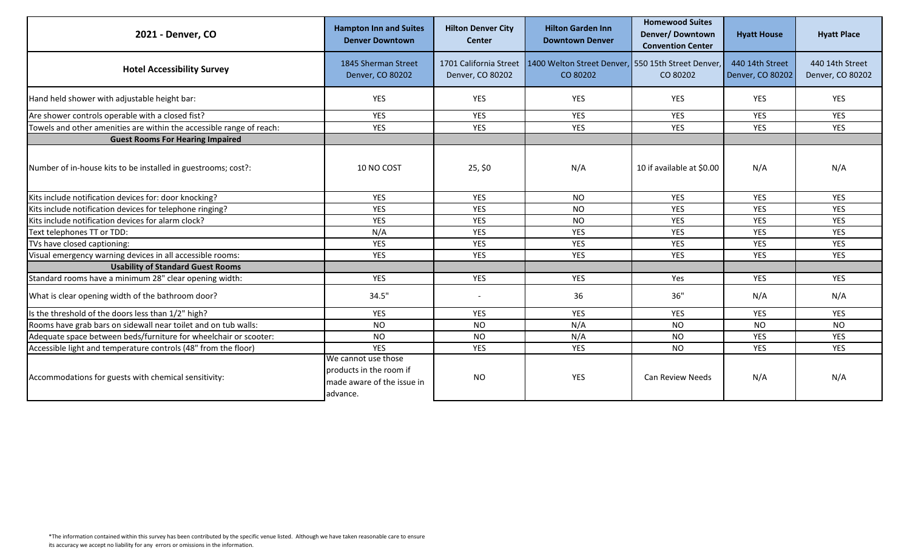| 2021 - Denver, CO                                                    | <b>Hampton Inn and Suites</b><br><b>Denver Downtown</b>                                  | <b>Hilton Denver City</b><br><b>Center</b> | <b>Hilton Garden Inn</b><br><b>Downtown Denver</b>                                      | <b>Homewood Suites</b><br>Denver/Downtown<br><b>Convention Center</b> | <b>Hyatt House</b>                  | <b>Hyatt Place</b>                  |
|----------------------------------------------------------------------|------------------------------------------------------------------------------------------|--------------------------------------------|-----------------------------------------------------------------------------------------|-----------------------------------------------------------------------|-------------------------------------|-------------------------------------|
| <b>Hotel Accessibility Survey</b>                                    | 1845 Sherman Street<br>Denver, CO 80202                                                  | Denver, CO 80202                           | 1701 California Street   1400 Welton Street Denver, 550 15th Street Denver,<br>CO 80202 | CO 80202                                                              | 440 14th Street<br>Denver, CO 80202 | 440 14th Street<br>Denver, CO 80202 |
| Hand held shower with adjustable height bar:                         | YES                                                                                      | YES                                        | <b>YES</b>                                                                              | <b>YES</b>                                                            | <b>YES</b>                          | YES                                 |
| Are shower controls operable with a closed fist?                     | <b>YES</b>                                                                               | YES                                        | <b>YES</b>                                                                              | <b>YES</b>                                                            | <b>YES</b>                          | <b>YES</b>                          |
| Towels and other amenities are within the accessible range of reach: | <b>YES</b>                                                                               | YES                                        | <b>YES</b>                                                                              | <b>YES</b>                                                            | <b>YES</b>                          | YES                                 |
| <b>Guest Rooms For Hearing Impaired</b>                              |                                                                                          |                                            |                                                                                         |                                                                       |                                     |                                     |
| Number of in-house kits to be installed in guestrooms; cost?:        | 10 NO COST                                                                               | 25, \$0                                    | N/A                                                                                     | 10 if available at \$0.00                                             | N/A                                 | N/A                                 |
| Kits include notification devices for: door knocking?                | <b>YES</b>                                                                               | <b>YES</b>                                 | NO.                                                                                     | <b>YES</b>                                                            | <b>YES</b>                          | <b>YES</b>                          |
| Kits include notification devices for telephone ringing?             | <b>YES</b>                                                                               | YES                                        | <b>NO</b>                                                                               | <b>YES</b>                                                            | <b>YES</b>                          | <b>YES</b>                          |
| Kits include notification devices for alarm clock?                   | YES                                                                                      | YES                                        | <b>NO</b>                                                                               | YES                                                                   | <b>YES</b>                          | YES                                 |
| Text telephones TT or TDD:                                           | N/A                                                                                      | YES                                        | <b>YES</b>                                                                              | YES                                                                   | <b>YES</b>                          | YES                                 |
| TVs have closed captioning:                                          | YES                                                                                      | YES                                        | <b>YES</b>                                                                              | <b>YES</b>                                                            | <b>YES</b>                          | YES                                 |
| Visual emergency warning devices in all accessible rooms:            | <b>YES</b>                                                                               | <b>YES</b>                                 | <b>YES</b>                                                                              | <b>YES</b>                                                            | <b>YES</b>                          | <b>YES</b>                          |
| <b>Usability of Standard Guest Rooms</b>                             |                                                                                          |                                            |                                                                                         |                                                                       |                                     |                                     |
| Standard rooms have a minimum 28" clear opening width:               | <b>YES</b>                                                                               | <b>YES</b>                                 | <b>YES</b>                                                                              | Yes                                                                   | <b>YES</b>                          | <b>YES</b>                          |
| What is clear opening width of the bathroom door?                    | 34.5"                                                                                    |                                            | 36                                                                                      | 36"                                                                   | N/A                                 | N/A                                 |
| Is the threshold of the doors less than 1/2" high?                   | <b>YES</b>                                                                               | <b>YES</b>                                 | <b>YES</b>                                                                              | <b>YES</b>                                                            | <b>YES</b>                          | YES                                 |
| Rooms have grab bars on sidewall near toilet and on tub walls:       | <b>NO</b>                                                                                | <b>NO</b>                                  | N/A                                                                                     | <b>NO</b>                                                             | NO.                                 | <b>NO</b>                           |
| Adequate space between beds/furniture for wheelchair or scooter:     | <b>NO</b>                                                                                | <b>NO</b>                                  | N/A                                                                                     | <b>NO</b>                                                             | <b>YES</b>                          | YES                                 |
| Accessible light and temperature controls (48" from the floor)       | <b>YES</b>                                                                               | <b>YES</b>                                 | <b>YES</b>                                                                              | <b>NO</b>                                                             | <b>YES</b>                          | <b>YES</b>                          |
| Accommodations for guests with chemical sensitivity:                 | We cannot use those<br>products in the room if<br>made aware of the issue in<br>advance. | <b>NO</b>                                  | <b>YES</b>                                                                              | <b>Can Review Needs</b>                                               | N/A                                 | N/A                                 |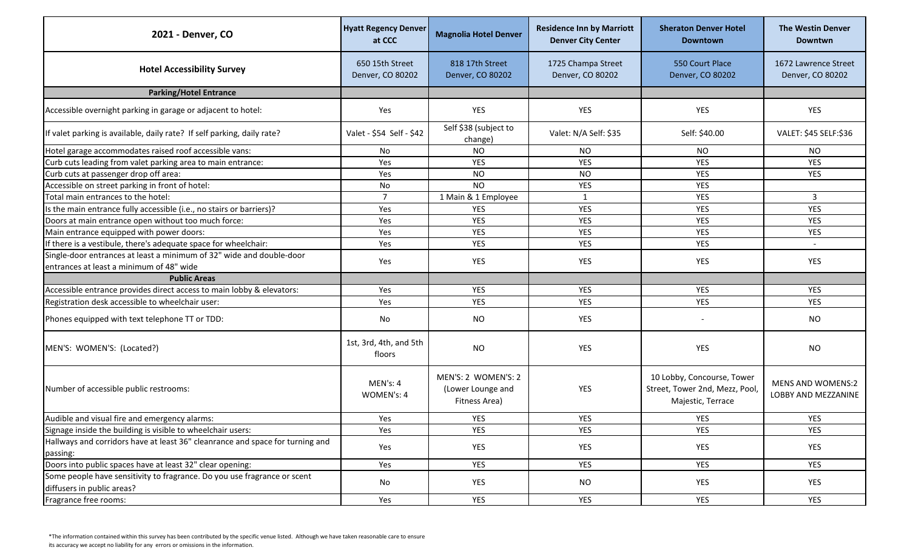| 2021 - Denver, CO                                                                                                | <b>Hyatt Regency Denver</b><br>at CCC | <b>Magnolia Hotel Denver</b>                              | <b>Residence Inn by Marriott</b><br><b>Denver City Center</b> | <b>Sheraton Denver Hotel</b><br><b>Downtown</b>                                   | <b>The Westin Denver</b><br><b>Downtwn</b>      |
|------------------------------------------------------------------------------------------------------------------|---------------------------------------|-----------------------------------------------------------|---------------------------------------------------------------|-----------------------------------------------------------------------------------|-------------------------------------------------|
| <b>Hotel Accessibility Survey</b>                                                                                | 650 15th Street<br>Denver, CO 80202   | 818 17th Street<br>Denver, CO 80202                       | 1725 Champa Street<br>Denver, CO 80202                        | 550 Court Place<br>Denver, CO 80202                                               | 1672 Lawrence Street<br>Denver, CO 80202        |
| <b>Parking/Hotel Entrance</b>                                                                                    |                                       |                                                           |                                                               |                                                                                   |                                                 |
| Accessible overnight parking in garage or adjacent to hotel:                                                     | Yes                                   | <b>YES</b>                                                | YES                                                           | <b>YES</b>                                                                        | YES                                             |
| If valet parking is available, daily rate? If self parking, daily rate?                                          | Valet - \$54 Self - \$42              | Self \$38 (subject to<br>change)                          | Valet: N/A Self: \$35                                         | Self: \$40.00                                                                     | VALET: \$45 SELF:\$36                           |
| Hotel garage accommodates raised roof accessible vans:                                                           | <b>No</b>                             | <b>NO</b>                                                 | <b>NO</b>                                                     | <b>NO</b>                                                                         | <b>NO</b>                                       |
| Curb cuts leading from valet parking area to main entrance:                                                      | Yes                                   | <b>YES</b>                                                | <b>YES</b>                                                    | <b>YES</b>                                                                        | <b>YES</b>                                      |
| Curb cuts at passenger drop off area:                                                                            | Yes                                   | <b>NO</b>                                                 | <b>NO</b>                                                     | <b>YES</b>                                                                        | <b>YES</b>                                      |
| Accessible on street parking in front of hotel:                                                                  | No                                    | <b>NO</b>                                                 | <b>YES</b>                                                    | <b>YES</b>                                                                        |                                                 |
| Total main entrances to the hotel:                                                                               | $\overline{7}$                        | 1 Main & 1 Employee                                       | $\mathbf{1}$                                                  | <b>YES</b>                                                                        | 3                                               |
| Is the main entrance fully accessible (i.e., no stairs or barriers)?                                             | Yes                                   | YES                                                       | <b>YES</b>                                                    | <b>YES</b>                                                                        | <b>YES</b>                                      |
| Doors at main entrance open without too much force:                                                              | Yes                                   | <b>YES</b>                                                | YES                                                           | <b>YES</b>                                                                        | <b>YES</b>                                      |
| Main entrance equipped with power doors:                                                                         | Yes                                   | <b>YES</b>                                                | <b>YES</b>                                                    | <b>YES</b>                                                                        | <b>YES</b>                                      |
| If there is a vestibule, there's adequate space for wheelchair:                                                  | Yes                                   | <b>YES</b>                                                | <b>YES</b>                                                    | YES                                                                               | $\overline{\phantom{a}}$                        |
| Single-door entrances at least a minimum of 32" wide and double-door<br>entrances at least a minimum of 48" wide | Yes                                   | <b>YES</b>                                                | YES                                                           | <b>YES</b>                                                                        | <b>YES</b>                                      |
| <b>Public Areas</b>                                                                                              |                                       |                                                           |                                                               |                                                                                   |                                                 |
| Accessible entrance provides direct access to main lobby & elevators:                                            | Yes                                   | YES                                                       | YES                                                           | <b>YES</b>                                                                        | YES                                             |
| Registration desk accessible to wheelchair user:                                                                 | Yes                                   | <b>YES</b>                                                | <b>YES</b>                                                    | <b>YES</b>                                                                        | <b>YES</b>                                      |
| Phones equipped with text telephone TT or TDD:                                                                   | No                                    | <b>NO</b>                                                 | YES                                                           |                                                                                   | <b>NO</b>                                       |
| MEN'S: WOMEN'S: (Located?)                                                                                       | 1st, 3rd, 4th, and 5th<br>floors      | <b>NO</b>                                                 | <b>YES</b>                                                    | YES                                                                               | <b>NO</b>                                       |
| Number of accessible public restrooms:                                                                           | MEN's: 4<br>WOMEN's: 4                | MEN'S: 2 WOMEN'S: 2<br>(Lower Lounge and<br>Fitness Area) | <b>YES</b>                                                    | 10 Lobby, Concourse, Tower<br>Street, Tower 2nd, Mezz, Pool,<br>Majestic, Terrace | <b>MENS AND WOMENS:2</b><br>LOBBY AND MEZZANINE |
| Audible and visual fire and emergency alarms:                                                                    | Yes                                   | <b>YES</b>                                                | YES                                                           | YES                                                                               | <b>YES</b>                                      |
| Signage inside the building is visible to wheelchair users:                                                      | Yes                                   | <b>YES</b>                                                | YES                                                           | YES                                                                               | YES                                             |
| Hallways and corridors have at least 36" cleanrance and space for turning and<br>passing:                        | Yes                                   | YES                                                       | <b>YES</b>                                                    | YES                                                                               | YES                                             |
| Doors into public spaces have at least 32" clear opening:                                                        | Yes                                   | YES                                                       | YES                                                           | YES                                                                               | YES                                             |
| Some people have sensitivity to fragrance. Do you use fragrance or scent<br>diffusers in public areas?           | No                                    | YES                                                       | <b>NO</b>                                                     | YES                                                                               | YES                                             |
| Fragrance free rooms:                                                                                            | Yes                                   | YES                                                       | YES                                                           | YES                                                                               | YES                                             |
|                                                                                                                  |                                       |                                                           |                                                               |                                                                                   |                                                 |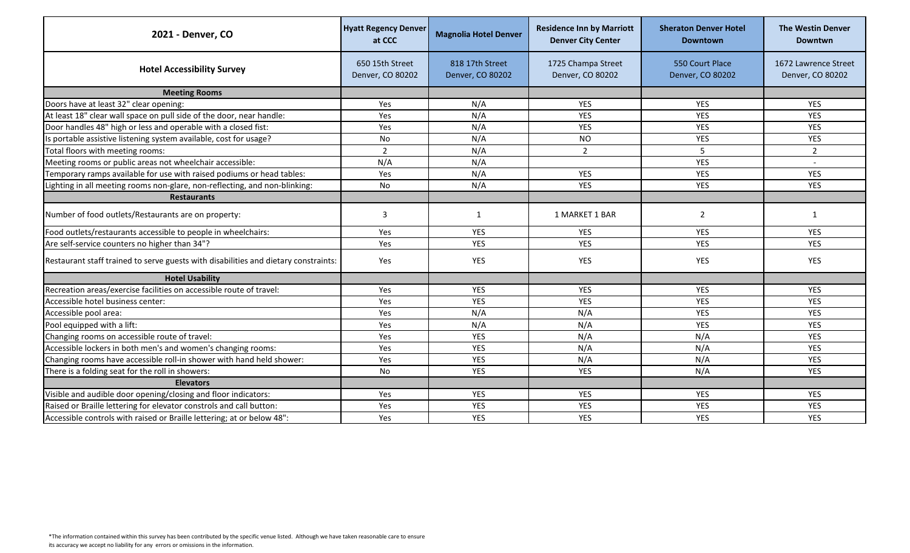| 2021 - Denver, CO                                                                   | <b>Hyatt Regency Denver</b><br>at CCC | <b>Magnolia Hotel Denver</b>        | <b>Residence Inn by Marriott</b><br><b>Denver City Center</b> | <b>Sheraton Denver Hotel</b><br><b>Downtown</b> | <b>The Westin Denver</b><br><b>Downtwn</b> |
|-------------------------------------------------------------------------------------|---------------------------------------|-------------------------------------|---------------------------------------------------------------|-------------------------------------------------|--------------------------------------------|
| <b>Hotel Accessibility Survey</b>                                                   | 650 15th Street<br>Denver, CO 80202   | 818 17th Street<br>Denver, CO 80202 | 1725 Champa Street<br>Denver, CO 80202                        | 550 Court Place<br>Denver, CO 80202             | 1672 Lawrence Street<br>Denver, CO 80202   |
| <b>Meeting Rooms</b>                                                                |                                       |                                     |                                                               |                                                 |                                            |
| Doors have at least 32" clear opening:                                              | Yes                                   | N/A                                 | <b>YES</b>                                                    | <b>YES</b>                                      | <b>YES</b>                                 |
| At least 18" clear wall space on pull side of the door, near handle:                | Yes                                   | N/A                                 | <b>YES</b>                                                    | <b>YES</b>                                      | <b>YES</b>                                 |
| Door handles 48" high or less and operable with a closed fist:                      | Yes                                   | N/A                                 | <b>YES</b>                                                    | <b>YES</b>                                      | <b>YES</b>                                 |
| Is portable assistive listening system available, cost for usage?                   | No                                    | N/A                                 | NO                                                            | YES                                             | YES                                        |
| Total floors with meeting rooms:                                                    | $\overline{2}$                        | N/A                                 | $\overline{2}$                                                | 5                                               | $\overline{2}$                             |
| Meeting rooms or public areas not wheelchair accessible:                            | N/A                                   | N/A                                 |                                                               | <b>YES</b>                                      |                                            |
| Temporary ramps available for use with raised podiums or head tables:               | Yes                                   | N/A                                 | <b>YES</b>                                                    | <b>YES</b>                                      | <b>YES</b>                                 |
| Lighting in all meeting rooms non-glare, non-reflecting, and non-blinking:          | No                                    | N/A                                 | <b>YES</b>                                                    | <b>YES</b>                                      | <b>YES</b>                                 |
| <b>Restaurants</b>                                                                  |                                       |                                     |                                                               |                                                 |                                            |
| Number of food outlets/Restaurants are on property:                                 | 3                                     | 1                                   | 1 MARKET 1 BAR                                                | 2                                               | 1                                          |
| Food outlets/restaurants accessible to people in wheelchairs:                       | Yes                                   | <b>YES</b>                          | <b>YES</b>                                                    | <b>YES</b>                                      | <b>YES</b>                                 |
| Are self-service counters no higher than 34"?                                       | Yes                                   | <b>YES</b>                          | <b>YES</b>                                                    | <b>YES</b>                                      | <b>YES</b>                                 |
| Restaurant staff trained to serve guests with disabilities and dietary constraints: | Yes                                   | YES                                 | <b>YES</b>                                                    | YES                                             | YES                                        |
| <b>Hotel Usability</b>                                                              |                                       |                                     |                                                               |                                                 |                                            |
| Recreation areas/exercise facilities on accessible route of travel:                 | Yes                                   | <b>YES</b>                          | <b>YES</b>                                                    | <b>YES</b>                                      | <b>YES</b>                                 |
| Accessible hotel business center:                                                   | Yes                                   | <b>YES</b>                          | <b>YES</b>                                                    | <b>YES</b>                                      | <b>YES</b>                                 |
| Accessible pool area:                                                               | Yes                                   | N/A                                 | N/A                                                           | YES                                             | <b>YES</b>                                 |
| Pool equipped with a lift:                                                          | Yes                                   | N/A                                 | N/A                                                           | <b>YES</b>                                      | <b>YES</b>                                 |
| Changing rooms on accessible route of travel:                                       | Yes                                   | <b>YES</b>                          | N/A                                                           | N/A                                             | <b>YES</b>                                 |
| Accessible lockers in both men's and women's changing rooms:                        | Yes                                   | <b>YES</b>                          | N/A                                                           | N/A                                             | <b>YES</b>                                 |
| Changing rooms have accessible roll-in shower with hand held shower:                | Yes                                   | <b>YES</b>                          | N/A                                                           | N/A                                             | <b>YES</b>                                 |
| There is a folding seat for the roll in showers:                                    | <b>No</b>                             | <b>YES</b>                          | <b>YES</b>                                                    | N/A                                             | <b>YES</b>                                 |
| <b>Elevators</b>                                                                    |                                       |                                     |                                                               |                                                 |                                            |
| Visible and audible door opening/closing and floor indicators:                      | Yes                                   | YES                                 | <b>YES</b>                                                    | YES                                             | <b>YES</b>                                 |
| Raised or Braille lettering for elevator constrols and call button:                 | Yes                                   | <b>YES</b>                          | <b>YES</b>                                                    | YES                                             | YES                                        |
| Accessible controls with raised or Braille lettering; at or below 48":              | Yes                                   | <b>YES</b>                          | <b>YES</b>                                                    | <b>YES</b>                                      | <b>YES</b>                                 |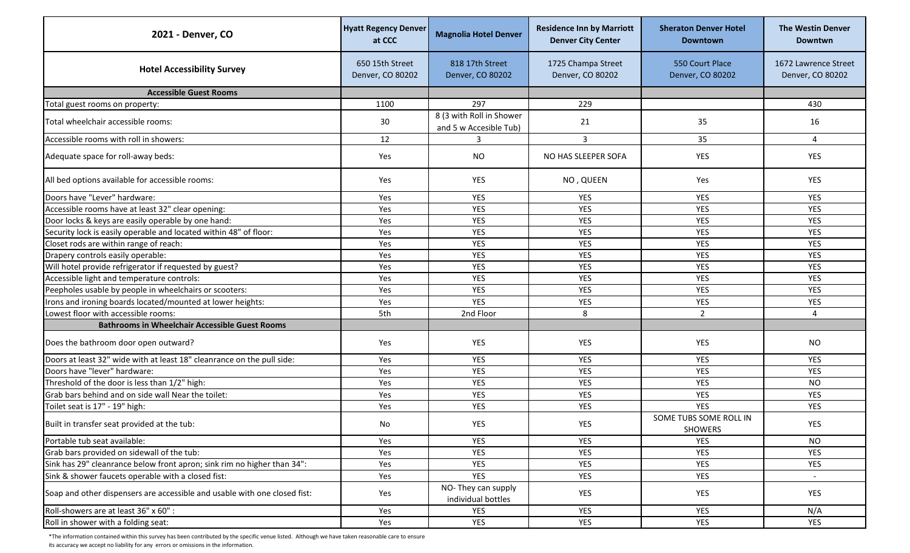| 2021 - Denver, CO                                                         | <b>Hyatt Regency Denver</b><br>at CCC | <b>Magnolia Hotel Denver</b>                       | <b>Residence Inn by Marriott</b><br><b>Denver City Center</b> | <b>Sheraton Denver Hotel</b><br><b>Downtown</b> | <b>The Westin Denver</b><br><b>Downtwn</b> |
|---------------------------------------------------------------------------|---------------------------------------|----------------------------------------------------|---------------------------------------------------------------|-------------------------------------------------|--------------------------------------------|
| <b>Hotel Accessibility Survey</b>                                         | 650 15th Street<br>Denver, CO 80202   | 818 17th Street<br>Denver, CO 80202                | 1725 Champa Street<br>Denver, CO 80202                        | 550 Court Place<br>Denver, CO 80202             | 1672 Lawrence Street<br>Denver, CO 80202   |
| <b>Accessible Guest Rooms</b>                                             |                                       |                                                    |                                                               |                                                 |                                            |
| Total guest rooms on property:                                            | 1100                                  | 297                                                | 229                                                           |                                                 | 430                                        |
| Total wheelchair accessible rooms:                                        | 30                                    | 8 (3 with Roll in Shower<br>and 5 w Accesible Tub) | 21                                                            | 35                                              | 16                                         |
| Accessible rooms with roll in showers:                                    | 12                                    | 3                                                  | 3                                                             | 35                                              | 4                                          |
| Adequate space for roll-away beds:                                        | Yes                                   | <b>NO</b>                                          | NO HAS SLEEPER SOFA                                           | YES                                             | YES                                        |
| All bed options available for accessible rooms:                           | Yes                                   | YES                                                | NO, QUEEN                                                     | Yes                                             | <b>YES</b>                                 |
| Doors have "Lever" hardware:                                              | Yes                                   | YES                                                | <b>YES</b>                                                    | <b>YES</b>                                      | YES                                        |
| Accessible rooms have at least 32" clear opening:                         | Yes                                   | YES                                                | <b>YES</b>                                                    | <b>YES</b>                                      | YES                                        |
| Door locks & keys are easily operable by one hand:                        | Yes                                   | <b>YES</b>                                         | <b>YES</b>                                                    | <b>YES</b>                                      | <b>YES</b>                                 |
| Security lock is easily operable and located within 48" of floor:         | Yes                                   | <b>YES</b>                                         | <b>YES</b>                                                    | <b>YES</b>                                      | <b>YES</b>                                 |
| Closet rods are within range of reach:                                    | Yes                                   | <b>YES</b>                                         | <b>YES</b>                                                    | <b>YES</b>                                      | <b>YES</b>                                 |
| Drapery controls easily operable:                                         | Yes                                   | YES                                                | <b>YES</b>                                                    | <b>YES</b>                                      | <b>YES</b>                                 |
| Will hotel provide refrigerator if requested by guest?                    | Yes                                   | <b>YES</b>                                         | <b>YES</b>                                                    | YES                                             | YES                                        |
| Accessible light and temperature controls:                                | Yes                                   | YES                                                | <b>YES</b>                                                    | YES                                             | YES                                        |
| Peepholes usable by people in wheelchairs or scooters:                    | Yes                                   | <b>YES</b>                                         | <b>YES</b>                                                    | YES                                             | YES                                        |
| Irons and ironing boards located/mounted at lower heights:                | Yes                                   | <b>YES</b>                                         | <b>YES</b>                                                    | <b>YES</b>                                      | <b>YES</b>                                 |
| Lowest floor with accessible rooms:                                       | 5th                                   | 2nd Floor                                          | 8                                                             | $\overline{2}$                                  | 4                                          |
| <b>Bathrooms in Wheelchair Accessible Guest Rooms</b>                     |                                       |                                                    |                                                               |                                                 |                                            |
| Does the bathroom door open outward?                                      | Yes                                   | YES                                                | <b>YES</b>                                                    | YES                                             | <b>NO</b>                                  |
| Doors at least 32" wide with at least 18" cleanrance on the pull side:    | Yes                                   | YES                                                | <b>YES</b>                                                    | <b>YES</b>                                      | <b>YES</b>                                 |
| Doors have "lever" hardware:                                              | Yes                                   | YES                                                | <b>YES</b>                                                    | YES                                             | YES                                        |
| Threshold of the door is less than 1/2" high:                             | Yes                                   | YES                                                | <b>YES</b>                                                    | YES                                             | <b>NO</b>                                  |
| Grab bars behind and on side wall Near the toilet:                        | Yes                                   | <b>YES</b>                                         | <b>YES</b>                                                    | <b>YES</b>                                      | <b>YES</b>                                 |
| Toilet seat is 17" - 19" high:                                            | Yes                                   | <b>YES</b>                                         | <b>YES</b>                                                    | <b>YES</b>                                      | <b>YES</b>                                 |
| Built in transfer seat provided at the tub:                               | No                                    | YES                                                | <b>YES</b>                                                    | SOME TUBS SOME ROLL IN<br>SHOWERS               | YES                                        |
| Portable tub seat available:                                              | Yes                                   | YES                                                | YES                                                           | <b>YES</b>                                      | <b>NO</b>                                  |
| Grab bars provided on sidewall of the tub:                                | Yes                                   | YES                                                | YES                                                           | YES                                             | <b>YES</b>                                 |
| Sink has 29" cleanrance below front apron; sink rim no higher than 34":   | Yes                                   | YES                                                | YES                                                           | YES                                             | <b>YES</b>                                 |
| Sink & shower faucets operable with a closed fist:                        | Yes                                   | <b>YES</b>                                         | <b>YES</b>                                                    | YES                                             | $\sim$                                     |
| Soap and other dispensers are accessible and usable with one closed fist: | Yes                                   | NO-They can supply<br>individual bottles           | YES                                                           | YES                                             | YES                                        |
| Roll-showers are at least 36" x 60" :                                     | Yes                                   | YES                                                | YES                                                           | YES                                             | N/A                                        |
| Roll in shower with a folding seat:                                       | Yes                                   | YES                                                | <b>YES</b>                                                    | YES                                             | <b>YES</b>                                 |